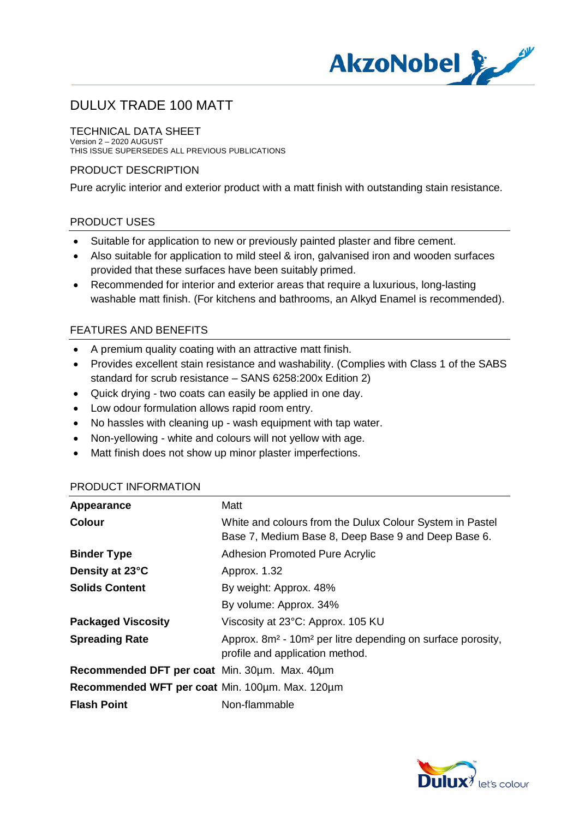

#### TECHNICAL DATA SHEET

Version 2 – 2020 AUGUST THIS ISSUE SUPERSEDES ALL PREVIOUS PUBLICATIONS

### PRODUCT DESCRIPTION

Pure acrylic interior and exterior product with a matt finish with outstanding stain resistance.

### PRODUCT USES

- · Suitable for application to new or previously painted plaster and fibre cement.
- · Also suitable for application to mild steel & iron, galvanised iron and wooden surfaces provided that these surfaces have been suitably primed.
- · Recommended for interior and exterior areas that require a luxurious, long-lasting washable matt finish. (For kitchens and bathrooms, an Alkyd Enamel is recommended).

### FEATURES AND BENEFITS

- · A premium quality coating with an attractive matt finish.
- · Provides excellent stain resistance and washability. (Complies with Class 1 of the SABS standard for scrub resistance – SANS 6258:200x Edition 2)
- Quick drying two coats can easily be applied in one day.
- · Low odour formulation allows rapid room entry.
- · No hassles with cleaning up wash equipment with tap water.
- · Non-yellowing white and colours will not yellow with age.
- · Matt finish does not show up minor plaster imperfections.

| Appearance                                      | Matt                                                                                                                   |
|-------------------------------------------------|------------------------------------------------------------------------------------------------------------------------|
| <b>Colour</b>                                   | White and colours from the Dulux Colour System in Pastel<br>Base 7, Medium Base 8, Deep Base 9 and Deep Base 6.        |
| <b>Binder Type</b>                              | <b>Adhesion Promoted Pure Acrylic</b>                                                                                  |
| Density at 23°C                                 | Approx. 1.32                                                                                                           |
| <b>Solids Content</b>                           | By weight: Approx. 48%                                                                                                 |
|                                                 | By volume: Approx. 34%                                                                                                 |
| <b>Packaged Viscosity</b>                       | Viscosity at 23°C: Approx. 105 KU                                                                                      |
| <b>Spreading Rate</b>                           | Approx. 8m <sup>2</sup> - 10m <sup>2</sup> per litre depending on surface porosity,<br>profile and application method. |
| Recommended DFT per coat Min. 30um. Max. 40um   |                                                                                                                        |
| Recommended WFT per coat Min. 100um. Max. 120um |                                                                                                                        |
| <b>Flash Point</b>                              | Non-flammable                                                                                                          |

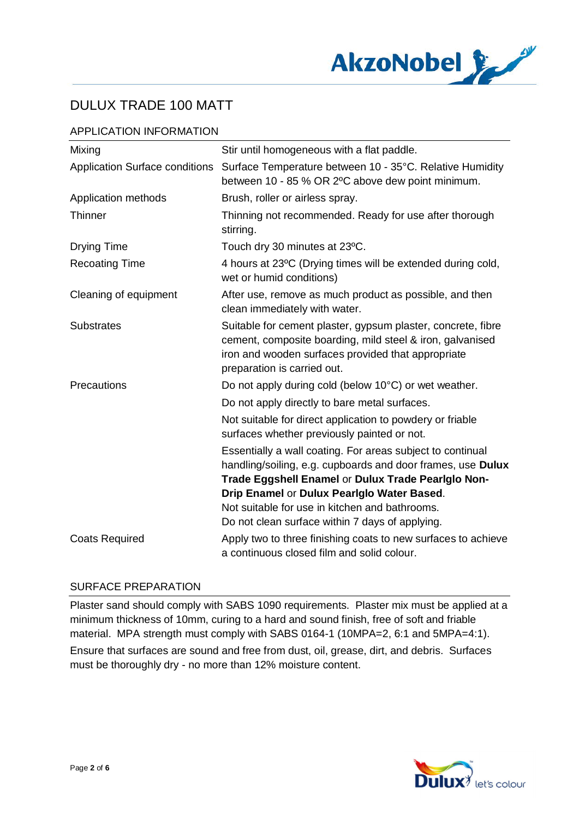

## APPLICATION INFORMATION

| Mixing                                | Stir until homogeneous with a flat paddle.                                                                                                                                                                                                                                       |
|---------------------------------------|----------------------------------------------------------------------------------------------------------------------------------------------------------------------------------------------------------------------------------------------------------------------------------|
| <b>Application Surface conditions</b> | Surface Temperature between 10 - 35°C. Relative Humidity<br>between 10 - 85 % OR 2°C above dew point minimum.                                                                                                                                                                    |
| Application methods                   | Brush, roller or airless spray.                                                                                                                                                                                                                                                  |
| <b>Thinner</b>                        | Thinning not recommended. Ready for use after thorough<br>stirring.                                                                                                                                                                                                              |
| <b>Drying Time</b>                    | Touch dry 30 minutes at 23°C.                                                                                                                                                                                                                                                    |
| <b>Recoating Time</b>                 | 4 hours at 23°C (Drying times will be extended during cold,<br>wet or humid conditions)                                                                                                                                                                                          |
| Cleaning of equipment                 | After use, remove as much product as possible, and then<br>clean immediately with water.                                                                                                                                                                                         |
| <b>Substrates</b>                     | Suitable for cement plaster, gypsum plaster, concrete, fibre<br>cement, composite boarding, mild steel & iron, galvanised<br>iron and wooden surfaces provided that appropriate<br>preparation is carried out.                                                                   |
| Precautions                           | Do not apply during cold (below 10°C) or wet weather.<br>Do not apply directly to bare metal surfaces.<br>Not suitable for direct application to powdery or friable<br>surfaces whether previously painted or not.<br>Essentially a wall coating. For areas subject to continual |
|                                       | handling/soiling, e.g. cupboards and door frames, use Dulux<br>Trade Eggshell Enamel or Dulux Trade Pearlglo Non-<br>Drip Enamel or Dulux Pearlglo Water Based.<br>Not suitable for use in kitchen and bathrooms.<br>Do not clean surface within 7 days of applying.             |
| <b>Coats Required</b>                 | Apply two to three finishing coats to new surfaces to achieve<br>a continuous closed film and solid colour.                                                                                                                                                                      |

## SURFACE PREPARATION

Plaster sand should comply with SABS 1090 requirements. Plaster mix must be applied at a minimum thickness of 10mm, curing to a hard and sound finish, free of soft and friable material. MPA strength must comply with SABS 0164-1 (10MPA=2, 6:1 and 5MPA=4:1).

Ensure that surfaces are sound and free from dust, oil, grease, dirt, and debris. Surfaces must be thoroughly dry - no more than 12% moisture content.

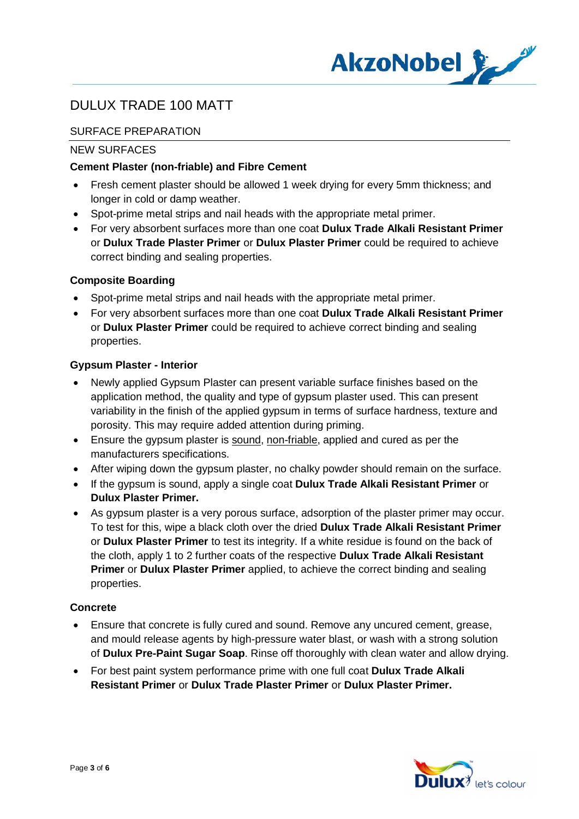

## SURFACE PREPARATION

#### NEW SURFACES

### **Cement Plaster (non-friable) and Fibre Cement**

- · Fresh cement plaster should be allowed 1 week drying for every 5mm thickness; and longer in cold or damp weather.
- · Spot-prime metal strips and nail heads with the appropriate metal primer.
- · For very absorbent surfaces more than one coat **Dulux Trade Alkali Resistant Primer** or **Dulux Trade Plaster Primer** or **Dulux Plaster Primer** could be required to achieve correct binding and sealing properties.

### **Composite Boarding**

- Spot-prime metal strips and nail heads with the appropriate metal primer.
- · For very absorbent surfaces more than one coat **Dulux Trade Alkali Resistant Primer** or **Dulux Plaster Primer** could be required to achieve correct binding and sealing properties.

#### **Gypsum Plaster - Interior**

- Newly applied Gypsum Plaster can present variable surface finishes based on the application method, the quality and type of gypsum plaster used. This can present variability in the finish of the applied gypsum in terms of surface hardness, texture and porosity. This may require added attention during priming.
- Ensure the gypsum plaster is sound, non-friable, applied and cured as per the manufacturers specifications.
- After wiping down the gypsum plaster, no chalky powder should remain on the surface.
- · If the gypsum is sound, apply a single coat **Dulux Trade Alkali Resistant Primer** or **Dulux Plaster Primer.**
- · As gypsum plaster is a very porous surface, adsorption of the plaster primer may occur. To test for this, wipe a black cloth over the dried **Dulux Trade Alkali Resistant Primer** or **Dulux Plaster Primer** to test its integrity. If a white residue is found on the back of the cloth, apply 1 to 2 further coats of the respective **Dulux Trade Alkali Resistant Primer** or **Dulux Plaster Primer** applied, to achieve the correct binding and sealing properties.

#### **Concrete**

- · Ensure that concrete is fully cured and sound. Remove any uncured cement, grease, and mould release agents by high-pressure water blast, or wash with a strong solution of **Dulux Pre-Paint Sugar Soap**. Rinse off thoroughly with clean water and allow drying.
- · For best paint system performance prime with one full coat **Dulux Trade Alkali Resistant Primer** or **Dulux Trade Plaster Primer** or **Dulux Plaster Primer.**

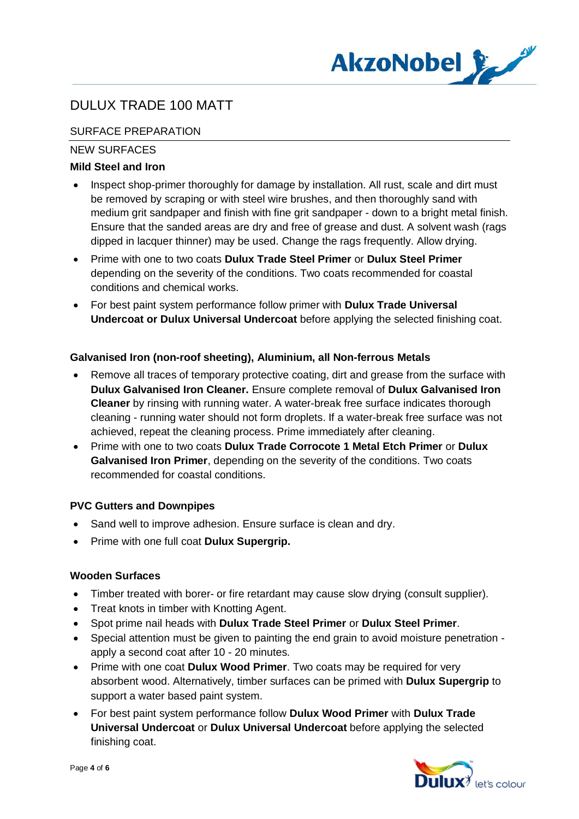

## SURFACE PREPARATION

### NEW SURFACES

### **Mild Steel and Iron**

- Inspect shop-primer thoroughly for damage by installation. All rust, scale and dirt must be removed by scraping or with steel wire brushes, and then thoroughly sand with medium grit sandpaper and finish with fine grit sandpaper - down to a bright metal finish. Ensure that the sanded areas are dry and free of grease and dust. A solvent wash (rags dipped in lacquer thinner) may be used. Change the rags frequently. Allow drying.
- · Prime with one to two coats **Dulux Trade Steel Primer** or **Dulux Steel Primer** depending on the severity of the conditions. Two coats recommended for coastal conditions and chemical works.
- · For best paint system performance follow primer with **Dulux Trade Universal Undercoat or Dulux Universal Undercoat** before applying the selected finishing coat.

### **Galvanised Iron (non-roof sheeting), Aluminium, all Non-ferrous Metals**

- · Remove all traces of temporary protective coating, dirt and grease from the surface with **Dulux Galvanised Iron Cleaner.** Ensure complete removal of **Dulux Galvanised Iron Cleaner** by rinsing with running water. A water-break free surface indicates thorough cleaning - running water should not form droplets. If a water-break free surface was not achieved, repeat the cleaning process. Prime immediately after cleaning.
- · Prime with one to two coats **Dulux Trade Corrocote 1 Metal Etch Primer** or **Dulux Galvanised Iron Primer**, depending on the severity of the conditions. Two coats recommended for coastal conditions.

## **PVC Gutters and Downpipes**

- Sand well to improve adhesion. Ensure surface is clean and dry.
- · Prime with one full coat **Dulux Supergrip.**

#### **Wooden Surfaces**

- · Timber treated with borer- or fire retardant may cause slow drying (consult supplier).
- · Treat knots in timber with Knotting Agent.
- · Spot prime nail heads with **Dulux Trade Steel Primer** or **Dulux Steel Primer**.
- · Special attention must be given to painting the end grain to avoid moisture penetration apply a second coat after 10 - 20 minutes.
- · Prime with one coat **Dulux Wood Primer**. Two coats may be required for very absorbent wood. Alternatively, timber surfaces can be primed with **Dulux Supergrip** to support a water based paint system.
- · For best paint system performance follow **Dulux Wood Primer** with **Dulux Trade Universal Undercoat** or **Dulux Universal Undercoat** before applying the selected finishing coat.

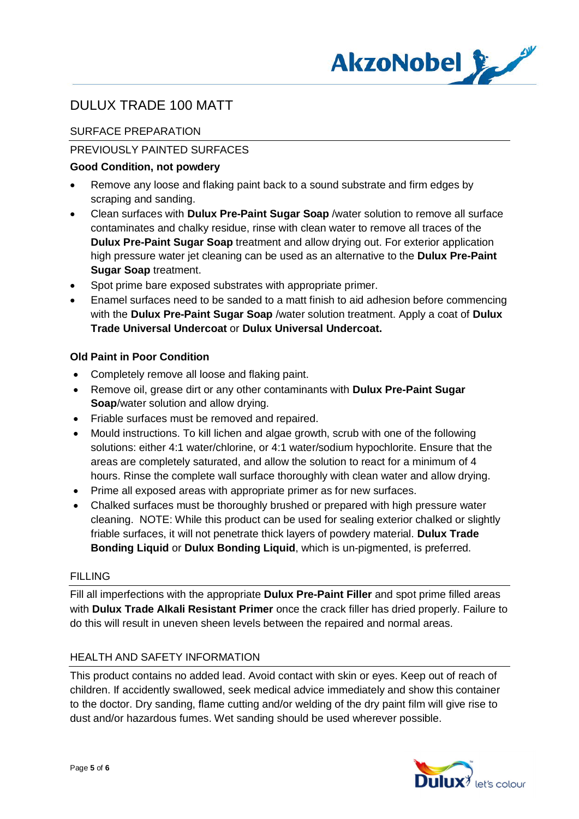

## SURFACE PREPARATION

### PREVIOUSLY PAINTED SURFACES

### **Good Condition, not powdery**

- · Remove any loose and flaking paint back to a sound substrate and firm edges by scraping and sanding.
- · Clean surfaces with **Dulux Pre-Paint Sugar Soap** /water solution to remove all surface contaminates and chalky residue, rinse with clean water to remove all traces of the **Dulux Pre-Paint Sugar Soap** treatment and allow drying out. For exterior application high pressure water jet cleaning can be used as an alternative to the **Dulux Pre-Paint Sugar Soap** treatment.
- Spot prime bare exposed substrates with appropriate primer.
- · Enamel surfaces need to be sanded to a matt finish to aid adhesion before commencing with the **Dulux Pre-Paint Sugar Soap** /water solution treatment. Apply a coat of **Dulux Trade Universal Undercoat** or **Dulux Universal Undercoat.**

### **Old Paint in Poor Condition**

- · Completely remove all loose and flaking paint.
- · Remove oil, grease dirt or any other contaminants with **Dulux Pre-Paint Sugar Soap**/water solution and allow drying.
- · Friable surfaces must be removed and repaired.
- · Mould instructions. To kill lichen and algae growth, scrub with one of the following solutions: either 4:1 water/chlorine, or 4:1 water/sodium hypochlorite. Ensure that the areas are completely saturated, and allow the solution to react for a minimum of 4 hours. Rinse the complete wall surface thoroughly with clean water and allow drying.
- · Prime all exposed areas with appropriate primer as for new surfaces.
- · Chalked surfaces must be thoroughly brushed or prepared with high pressure water cleaning. NOTE: While this product can be used for sealing exterior chalked or slightly friable surfaces, it will not penetrate thick layers of powdery material. **Dulux Trade Bonding Liquid** or **Dulux Bonding Liquid**, which is un-pigmented, is preferred.

#### **FILLING**

Fill all imperfections with the appropriate **Dulux Pre-Paint Filler** and spot prime filled areas with **Dulux Trade Alkali Resistant Primer** once the crack filler has dried properly. Failure to do this will result in uneven sheen levels between the repaired and normal areas.

#### HEALTH AND SAFETY INFORMATION

This product contains no added lead. Avoid contact with skin or eyes. Keep out of reach of children. If accidently swallowed, seek medical advice immediately and show this container to the doctor. Dry sanding, flame cutting and/or welding of the dry paint film will give rise to dust and/or hazardous fumes. Wet sanding should be used wherever possible.